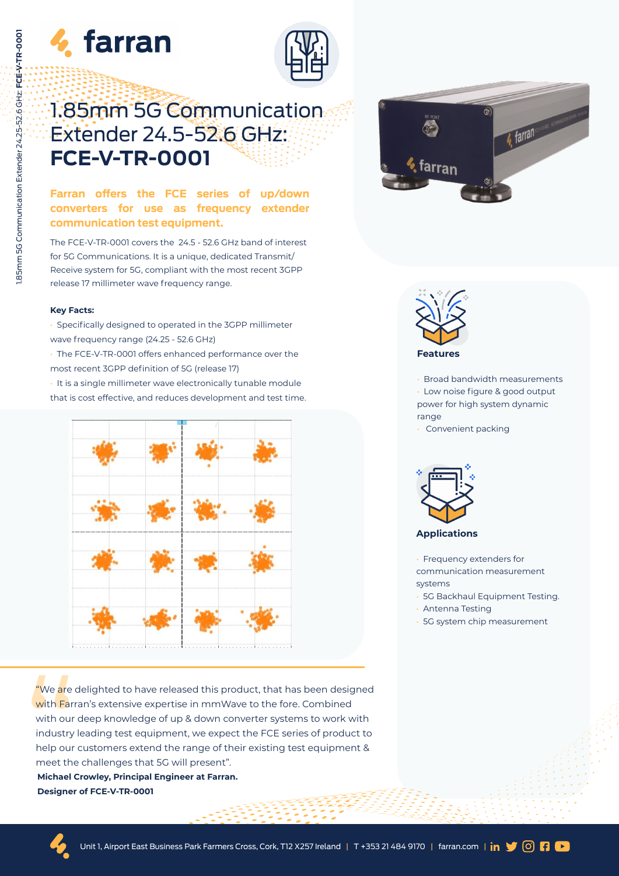



# 1.85mm 5G Communication Extender 24.5-52.6 GHz: **FCE-V-TR-0001**

# **Farran offers the FCE series of up/down converters for use as frequency extender communication test equipment.**

The FCE-V-TR-0001 covers the 24.5 - 52.6 GHz band of interest for 5G Communications. It is a unique, dedicated Transmit/ Receive system for 5G, compliant with the most recent 3GPP release 17 millimeter wave frequency range.

#### **Key Facts:**

• Specifically designed to operated in the 3GPP millimeter wave frequency range (24.25 - 52.6 GHz)

• The FCE-V-TR-0001 offers enhanced performance over the most recent 3GPP definition of 5G (release 17)

• It is a single millimeter wave electronically tunable module that is cost effective, and reduces development and test time.



We are e<br>
with Farr<br>
with our<br>
industry<br>
help our<br>
meet the<br> **Michael (Designer** "We are delighted to have released this product, that has been designed with Farran's extensive expertise in mmWave to the fore. Combined with our deep knowledge of up & down converter systems to work with industry leading test equipment, we expect the FCE series of product to help our customers extend the range of their existing test equipment & meet the challenges that 5G will present".

**Michael Crowley, Principal Engineer at Farran. Designer of FCE-V-TR-0001**





• Broad bandwidth measurements Low noise figure & good output power for high system dynamic range

Convenient packing



**Applications**

- Frequency extenders for communication measurement systems
- 5G Backhaul Equipment Testing.
- Antenna Testing
- 5G system chip measurement